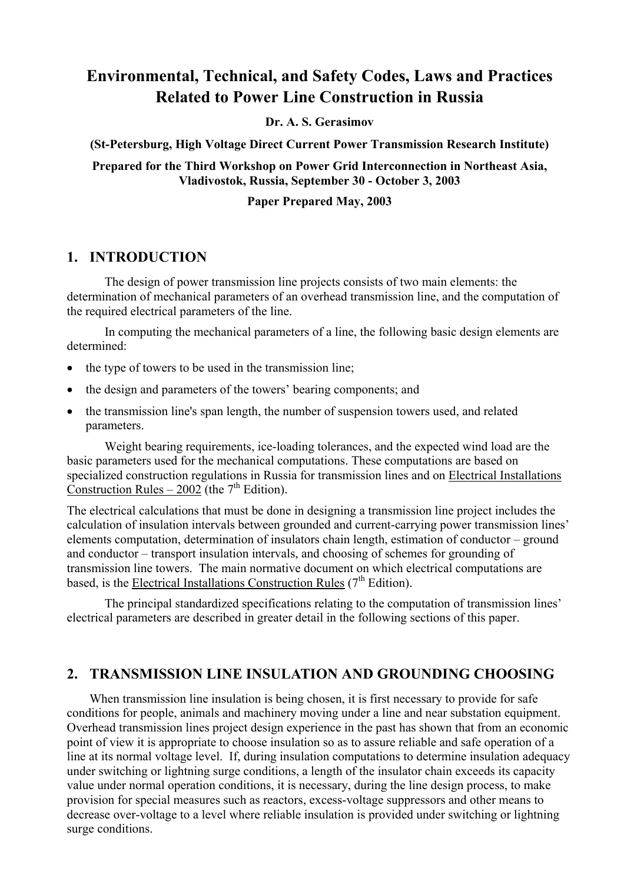# **Environmental, Technical, and Safety Codes, Laws and Practices Related to Power Line Construction in Russia**

**Dr. A. S. Gerasimov** 

**(St-Petersburg, High Voltage Direct Current Power Transmission Research Institute)**

### **Prepared for the Third Workshop on Power Grid Interconnection in Northeast Asia, Vladivostok, Russia, September 30 - October 3, 2003**

#### **Paper Prepared May, 2003**

### **1. INTRODUCTION**

The design of power transmission line projects consists of two main elements: the determination of mechanical parameters of an overhead transmission line, and the computation of the required electrical parameters of the line.

In computing the mechanical parameters of a line, the following basic design elements are determined:

- the type of towers to be used in the transmission line;
- the design and parameters of the towers' bearing components; and
- the transmission line's span length, the number of suspension towers used, and related parameters.

Weight bearing requirements, ice-loading tolerances, and the expected wind load are the basic parameters used for the mechanical computations. These computations are based on specialized construction regulations in Russia for transmission lines and on Electrical Installations Construction Rules – 2002 (the  $7<sup>th</sup>$  Edition).

The electrical calculations that must be done in designing a transmission line project includes the calculation of insulation intervals between grounded and current-carrying power transmission lines' elements computation, determination of insulators chain length, estimation of conductor – ground and conductor – transport insulation intervals, and choosing of schemes for grounding of transmission line towers. The main normative document on which electrical computations are based, is the **Electrical Installations Construction Rules** ( $7<sup>th</sup>$  Edition).

The principal standardized specifications relating to the computation of transmission lines' electrical parameters are described in greater detail in the following sections of this paper.

### **2. TRANSMISSION LINE INSULATION AND GROUNDING CHOOSING**

When transmission line insulation is being chosen, it is first necessary to provide for safe conditions for people, animals and machinery moving under a line and near substation equipment. Overhead transmission lines project design experience in the past has shown that from an economic point of view it is appropriate to choose insulation so as to assure reliable and safe operation of a line at its normal voltage level. If, during insulation computations to determine insulation adequacy under switching or lightning surge conditions, a length of the insulator chain exceeds its capacity value under normal operation conditions, it is necessary, during the line design process, to make provision for special measures such as reactors, excess-voltage suppressors and other means to decrease over-voltage to a level where reliable insulation is provided under switching or lightning surge conditions.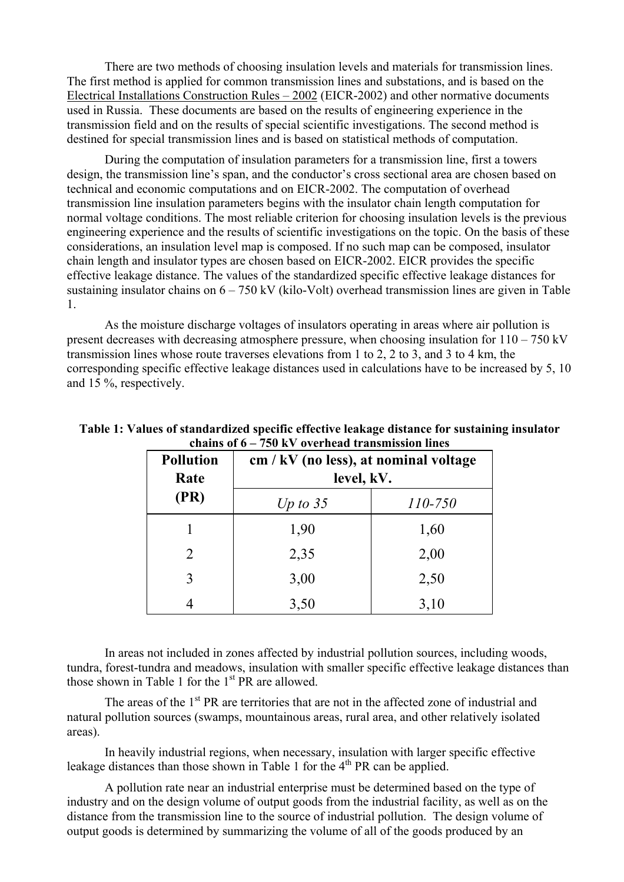There are two methods of choosing insulation levels and materials for transmission lines. The first method is applied for common transmission lines and substations, and is based on the Electrical Installations Construction Rules – 2002 (EICR-2002) and other normative documents used in Russia. These documents are based on the results of engineering experience in the transmission field and on the results of special scientific investigations. The second method is destined for special transmission lines and is based on statistical methods of computation.

During the computation of insulation parameters for a transmission line, first a towers design, the transmission line's span, and the conductor's cross sectional area are chosen based on technical and economic computations and on EICR-2002. The computation of overhead transmission line insulation parameters begins with the insulator chain length computation for normal voltage conditions. The most reliable criterion for choosing insulation levels is the previous engineering experience and the results of scientific investigations on the topic. On the basis of these considerations, an insulation level map is composed. If no such map can be composed, insulator chain length and insulator types are chosen based on EICR-2002. EICR provides the specific effective leakage distance. The values of the standardized specific effective leakage distances for sustaining insulator chains on  $6 - 750$  kV (kilo-Volt) overhead transmission lines are given in Table 1.

As the moisture discharge voltages of insulators operating in areas where air pollution is present decreases with decreasing atmosphere pressure, when choosing insulation for  $110 - 750$  kV transmission lines whose route traverses elevations from 1 to 2, 2 to 3, and 3 to 4 km, the corresponding specific effective leakage distances used in calculations have to be increased by 5, 10 and 15 %, respectively.

| <b>Pollution</b><br>Rate | cm / kV (no less), at nominal voltage<br>level, kV. |         |  |  |  |  |
|--------------------------|-----------------------------------------------------|---------|--|--|--|--|
| (PR)                     | Up to $35$                                          | 110-750 |  |  |  |  |
|                          | 1,90                                                | 1,60    |  |  |  |  |
| 2                        | 2,35                                                | 2,00    |  |  |  |  |
| 3                        | 3,00                                                | 2,50    |  |  |  |  |
|                          | 3,50                                                | 3,10    |  |  |  |  |

**Table 1: Values of standardized specific effective leakage distance for sustaining insulator chains of 6 – 750 kV overhead transmission lines**

In areas not included in zones affected by industrial pollution sources, including woods, tundra, forest-tundra and meadows, insulation with smaller specific effective leakage distances than those shown in Table 1 for the  $1<sup>st</sup> PR$  are allowed.

The areas of the 1<sup>st</sup> PR are territories that are not in the affected zone of industrial and natural pollution sources (swamps, mountainous areas, rural area, and other relatively isolated areas).

In heavily industrial regions, when necessary, insulation with larger specific effective leakage distances than those shown in Table 1 for the  $4<sup>th</sup> PR$  can be applied.

A pollution rate near an industrial enterprise must be determined based on the type of industry and on the design volume of output goods from the industrial facility, as well as on the distance from the transmission line to the source of industrial pollution. The design volume of output goods is determined by summarizing the volume of all of the goods produced by an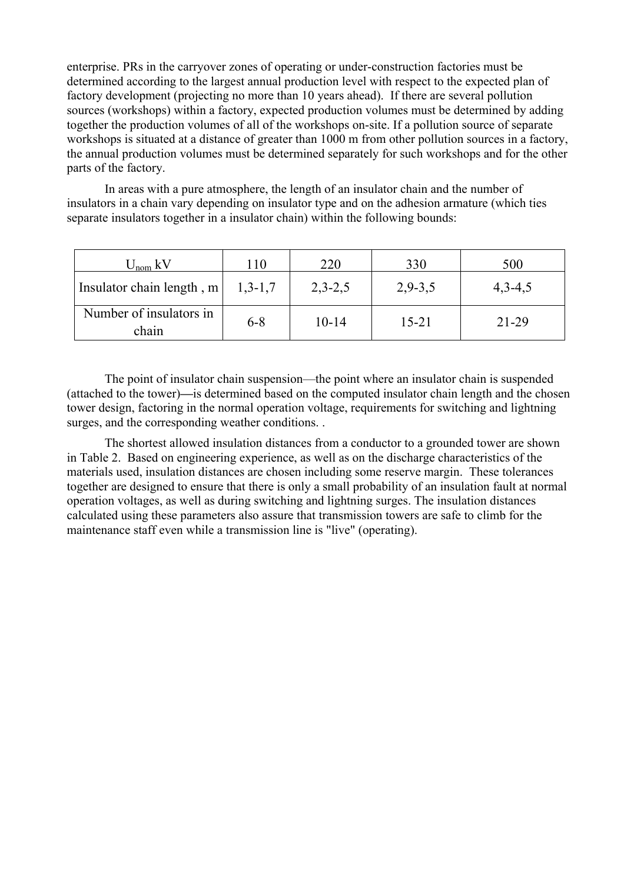enterprise. PRs in the carryover zones of operating or under-construction factories must be determined according to the largest annual production level with respect to the expected plan of factory development (projecting no more than 10 years ahead). If there are several pollution sources (workshops) within a factory, expected production volumes must be determined by adding together the production volumes of all of the workshops on-site. If a pollution source of separate workshops is situated at a distance of greater than 1000 m from other pollution sources in a factory, the annual production volumes must be determined separately for such workshops and for the other parts of the factory.

In areas with a pure atmosphere, the length of an insulator chain and the number of insulators in a chain vary depending on insulator type and on the adhesion armature (which ties separate insulators together in a insulator chain) within the following bounds:

| $U_{nom}$ kV                     | l 10      | 220       | 330       | 500       |
|----------------------------------|-----------|-----------|-----------|-----------|
| Insulator chain length, m        | $1,3-1,7$ | $2,3-2,5$ | $2,9-3,5$ | $4,3-4,5$ |
| Number of insulators in<br>chain | $6 - 8$   | $10 - 14$ | $15 - 21$ | 21-29     |

The point of insulator chain suspension—the point where an insulator chain is suspended (attached to the tower)**—**is determined based on the computed insulator chain length and the chosen tower design, factoring in the normal operation voltage, requirements for switching and lightning surges, and the corresponding weather conditions.

The shortest allowed insulation distances from a conductor to a grounded tower are shown in Table 2. Based on engineering experience, as well as on the discharge characteristics of the materials used, insulation distances are chosen including some reserve margin. These tolerances together are designed to ensure that there is only a small probability of an insulation fault at normal operation voltages, as well as during switching and lightning surges. The insulation distances calculated using these parameters also assure that transmission towers are safe to climb for the maintenance staff even while a transmission line is "live" (operating).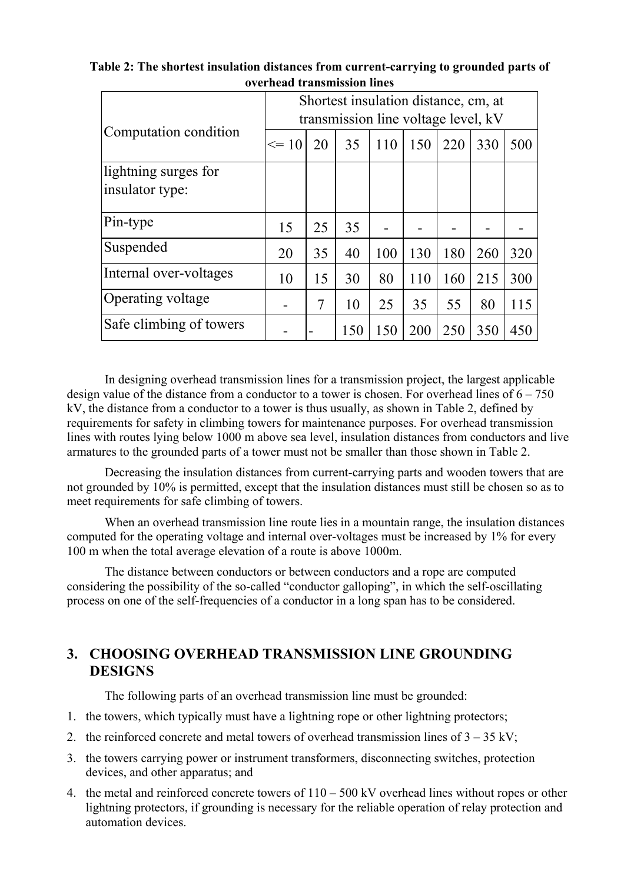|                         | Shortest insulation distance, cm, at |    |     |     |     |     |     |     |  |
|-------------------------|--------------------------------------|----|-----|-----|-----|-----|-----|-----|--|
|                         | transmission line voltage level, kV  |    |     |     |     |     |     |     |  |
| Computation condition   | $\leq$ 10                            | 20 | 35  | 110 | 150 | 220 | 330 | 500 |  |
| lightning surges for    |                                      |    |     |     |     |     |     |     |  |
| insulator type:         |                                      |    |     |     |     |     |     |     |  |
| Pin-type                | 15                                   | 25 | 35  |     |     |     |     |     |  |
| Suspended               | 20                                   | 35 | 40  | 100 | 130 | 180 | 260 | 320 |  |
| Internal over-voltages  | 10                                   | 15 | 30  | 80  | 110 | 160 | 215 | 300 |  |
| Operating voltage       |                                      | 7  | 10  | 25  | 35  | 55  | 80  | 115 |  |
| Safe climbing of towers |                                      |    | 150 | 150 | 200 | 250 | 350 | 450 |  |

**Table 2: The shortest insulation distances from current-carrying to grounded parts of overhead transmission lines**

In designing overhead transmission lines for a transmission project, the largest applicable design value of the distance from a conductor to a tower is chosen. For overhead lines of  $6 - 750$ kV, the distance from a conductor to a tower is thus usually, as shown in Table 2, defined by requirements for safety in climbing towers for maintenance purposes. For overhead transmission lines with routes lying below 1000 m above sea level, insulation distances from conductors and live armatures to the grounded parts of a tower must not be smaller than those shown in Table 2.

Decreasing the insulation distances from current-carrying parts and wooden towers that are not grounded by 10% is permitted, except that the insulation distances must still be chosen so as to meet requirements for safe climbing of towers.

When an overhead transmission line route lies in a mountain range, the insulation distances computed for the operating voltage and internal over-voltages must be increased by 1% for every 100 m when the total average elevation of a route is above 1000m.

The distance between conductors or between conductors and a rope are computed considering the possibility of the so-called "conductor galloping", in which the self-oscillating process on one of the self-frequencies of a conductor in a long span has to be considered.

## **3. CHOOSING OVERHEAD TRANSMISSION LINE GROUNDING DESIGNS**

The following parts of an overhead transmission line must be grounded:

- 1. the towers, which typically must have a lightning rope or other lightning protectors;
- 2. the reinforced concrete and metal towers of overhead transmission lines of  $3 35$  kV;
- 3. the towers carrying power or instrument transformers, disconnecting switches, protection devices, and other apparatus; and
- 4. the metal and reinforced concrete towers of 110 500 kV overhead lines without ropes or other lightning protectors, if grounding is necessary for the reliable operation of relay protection and automation devices.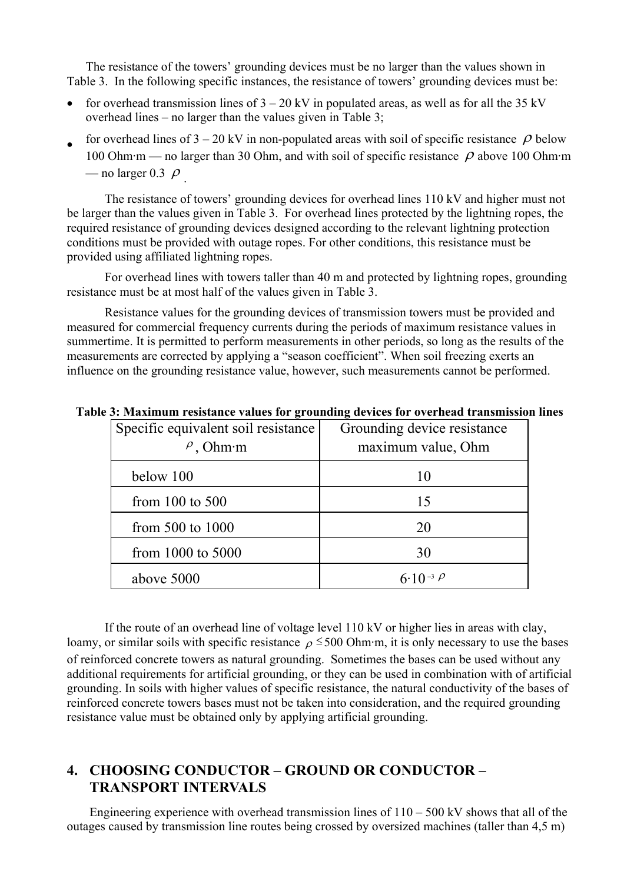The resistance of the towers' grounding devices must be no larger than the values shown in Table 3. In the following specific instances, the resistance of towers' grounding devices must be:

- for overhead transmission lines of  $3 20$  kV in populated areas, as well as for all the 35 kV overhead lines – no larger than the values given in Table 3;
- for overhead lines of  $3 20$  kV in non-populated areas with soil of specific resistance  $\rho$  below 100 Ohm·m — no larger than 30 Ohm, and with soil of specific resistance  $\rho$  above 100 Ohm·m — no larger 0.3  $\rho$ .

The resistance of towers' grounding devices for overhead lines 110 kV and higher must not be larger than the values given in Table 3. For overhead lines protected by the lightning ropes, the required resistance of grounding devices designed according to the relevant lightning protection conditions must be provided with outage ropes. For other conditions, this resistance must be provided using affiliated lightning ropes.

For overhead lines with towers taller than 40 m and protected by lightning ropes, grounding resistance must be at most half of the values given in Table 3.

Resistance values for the grounding devices of transmission towers must be provided and measured for commercial frequency currents during the periods of maximum resistance values in summertime. It is permitted to perform measurements in other periods, so long as the results of the measurements are corrected by applying a "season coefficient". When soil freezing exerts an influence on the grounding resistance value, however, such measurements cannot be performed.

| Specific equivalent soil resistance<br>$\rho$ , Ohm·m | Grounding device resistance<br>maximum value, Ohm |
|-------------------------------------------------------|---------------------------------------------------|
| below 100                                             | 10                                                |
| from $100$ to $500$                                   | 15                                                |
| from $500$ to $1000$                                  | 20                                                |
| from 1000 to 5000                                     | 30                                                |
| above 5000                                            | 6.10 <sup>-3</sup> $\beta$                        |

**Table 3: Maximum resistance values for grounding devices for overhead transmission lines** 

If the route of an overhead line of voltage level 110 kV or higher lies in areas with clay, loamy, or similar soils with specific resistance  $\rho \le 500$  Ohm·m, it is only necessary to use the bases of reinforced concrete towers as natural grounding. Sometimes the bases can be used without any additional requirements for artificial grounding, or they can be used in combination with of artificial grounding. In soils with higher values of specific resistance, the natural conductivity of the bases of reinforced concrete towers bases must not be taken into consideration, and the required grounding resistance value must be obtained only by applying artificial grounding.

## **4. CHOOSING CONDUCTOR – GROUND OR CONDUCTOR – TRANSPORT INTERVALS**

Engineering experience with overhead transmission lines of  $110 - 500$  kV shows that all of the outages caused by transmission line routes being crossed by oversized machines (taller than 4,5 m)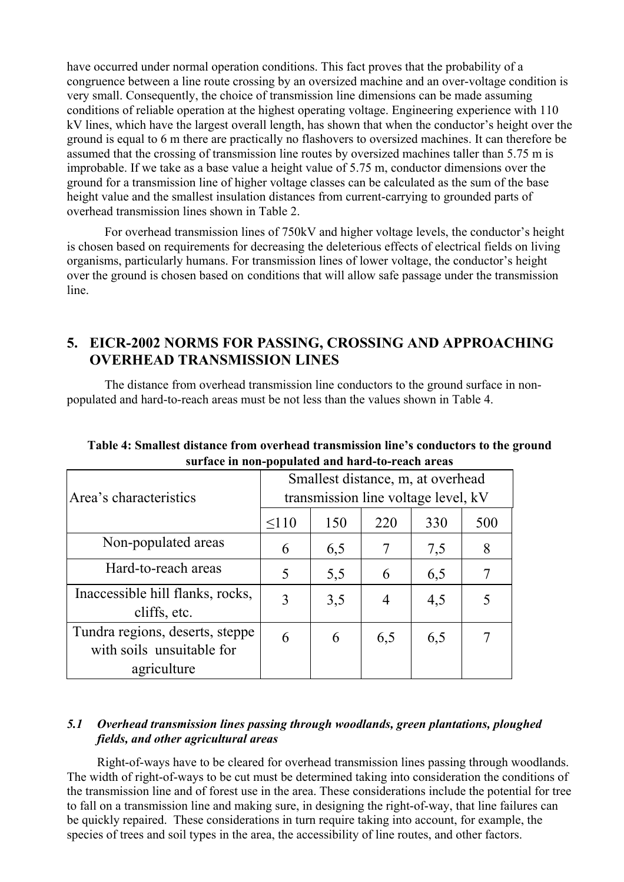have occurred under normal operation conditions. This fact proves that the probability of a congruence between a line route crossing by an oversized machine and an over-voltage condition is very small. Consequently, the choice of transmission line dimensions can be made assuming conditions of reliable operation at the highest operating voltage. Engineering experience with 110 kV lines, which have the largest overall length, has shown that when the conductor's height over the ground is equal to 6 m there are practically no flashovers to oversized machines. It can therefore be assumed that the crossing of transmission line routes by oversized machines taller than 5.75 m is improbable. If we take as a base value a height value of 5.75 m, conductor dimensions over the ground for a transmission line of higher voltage classes can be calculated as the sum of the base height value and the smallest insulation distances from current-carrying to grounded parts of overhead transmission lines shown in Table 2.

For overhead transmission lines of 750kV and higher voltage levels, the conductor's height is chosen based on requirements for decreasing the deleterious effects of electrical fields on living organisms, particularly humans. For transmission lines of lower voltage, the conductor's height over the ground is chosen based on conditions that will allow safe passage under the transmission line.

## **5. EICR-2002 NORMS FOR PASSING, CROSSING AND APPROACHING OVERHEAD TRANSMISSION LINES**

The distance from overhead transmission line conductors to the ground surface in nonpopulated and hard-to-reach areas must be not less than the values shown in Table 4.

| Area's characteristics                                       | Smallest distance, m, at overhead<br>transmission line voltage level, kV |     |                |     |     |  |  |
|--------------------------------------------------------------|--------------------------------------------------------------------------|-----|----------------|-----|-----|--|--|
|                                                              | $\leq 110$                                                               | 150 | 220            | 330 | 500 |  |  |
| Non-populated areas                                          | 6                                                                        | 6,5 |                | 7,5 | 8   |  |  |
| Hard-to-reach areas                                          | 5                                                                        | 5,5 | 6              | 6,5 |     |  |  |
| Inaccessible hill flanks, rocks,<br>cliffs, etc.             | 3                                                                        | 3,5 | $\overline{4}$ | 4,5 |     |  |  |
| Tundra regions, deserts, steppe<br>with soils unsuitable for | 6                                                                        | 6   | 6,5            | 6,5 |     |  |  |
| agriculture                                                  |                                                                          |     |                |     |     |  |  |

**Table 4: Smallest distance from overhead transmission line's conductors to the ground surface in non-populated and hard-to-reach areas**

### *5.1 Overhead transmission lines passing through woodlands, green plantations, ploughed fields, and other agricultural areas*

Right-of-ways have to be cleared for overhead transmission lines passing through woodlands. The width of right-of-ways to be cut must be determined taking into consideration the conditions of the transmission line and of forest use in the area. These considerations include the potential for tree to fall on a transmission line and making sure, in designing the right-of-way, that line failures can be quickly repaired. These considerations in turn require taking into account, for example, the species of trees and soil types in the area, the accessibility of line routes, and other factors.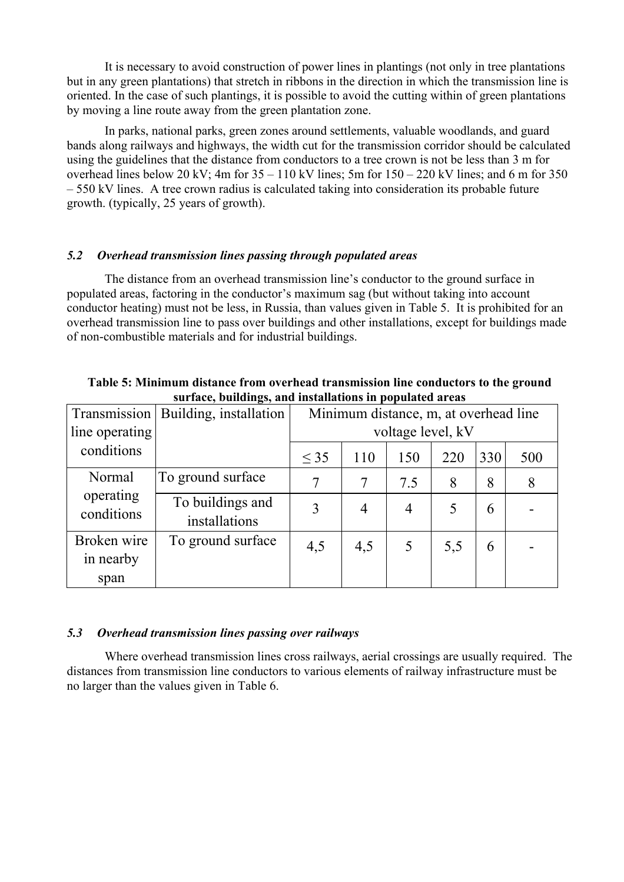It is necessary to avoid construction of power lines in plantings (not only in tree plantations but in any green plantations) that stretch in ribbons in the direction in which the transmission line is oriented. In the case of such plantings, it is possible to avoid the cutting within of green plantations by moving a line route away from the green plantation zone.

In parks, national parks, green zones around settlements, valuable woodlands, and guard bands along railways and highways, the width cut for the transmission corridor should be calculated using the guidelines that the distance from conductors to a tree crown is not be less than 3 m for overhead lines below 20 kV; 4m for  $35 - 110$  kV lines; 5m for  $150 - 220$  kV lines; and 6 m for 350 – 550 kV lines. A tree crown radius is calculated taking into consideration its probable future growth. (typically, 25 years of growth).

### *5.2 Overhead transmission lines passing through populated areas*

The distance from an overhead transmission line's conductor to the ground surface in populated areas, factoring in the conductor's maximum sag (but without taking into account conductor heating) must not be less, in Russia, than values given in Table 5. It is prohibited for an overhead transmission line to pass over buildings and other installations, except for buildings made of non-combustible materials and for industrial buildings.

| suriace, bundings, and mistanations in populated areas |                                   |                                       |                |                |     |     |     |  |
|--------------------------------------------------------|-----------------------------------|---------------------------------------|----------------|----------------|-----|-----|-----|--|
| Transmission                                           | Building, installation            | Minimum distance, m, at overhead line |                |                |     |     |     |  |
| line operating                                         |                                   | voltage level, kV                     |                |                |     |     |     |  |
| conditions                                             |                                   | $\leq$ 35                             | 110            | 150            | 220 | 330 | 500 |  |
| Normal                                                 | To ground surface                 | 7                                     | 7              | 7.5            | 8   | 8   | 8   |  |
| operating<br>conditions                                | To buildings and<br>installations | 3                                     | $\overline{4}$ | $\overline{4}$ | 5   | 6   |     |  |
| Broken wire<br>in nearby                               | To ground surface                 | 4,5                                   | 4,5            | 5              | 5,5 | 6   |     |  |
| span                                                   |                                   |                                       |                |                |     |     |     |  |

**Table 5: Minimum distance from overhead transmission line conductors to the ground surface, buildings, and installations in populated areas** 

#### *5.3 Overhead transmission lines passing over railways*

Where overhead transmission lines cross railways, aerial crossings are usually required. The distances from transmission line conductors to various elements of railway infrastructure must be no larger than the values given in Table 6.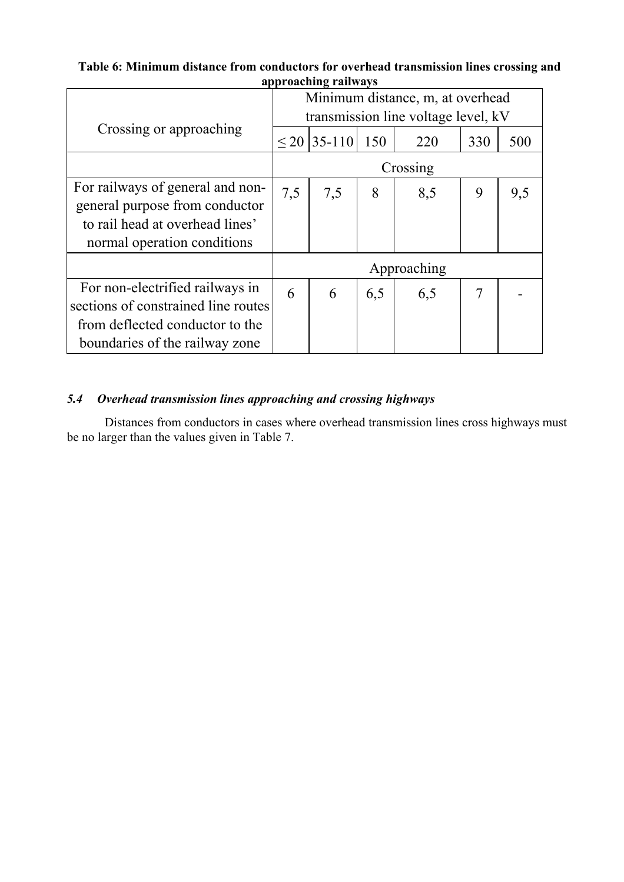**Table 6: Minimum distance from conductors for overhead transmission lines crossing and approaching railways** 

|                                     | Minimum distance, m, at overhead    |                    |     |     |     |     |  |
|-------------------------------------|-------------------------------------|--------------------|-----|-----|-----|-----|--|
|                                     | transmission line voltage level, kV |                    |     |     |     |     |  |
| Crossing or approaching             |                                     | $\leq$ 20   35-110 | 150 | 220 | 330 | 500 |  |
|                                     | Crossing                            |                    |     |     |     |     |  |
| For railways of general and non-    | 7,5                                 | 7,5                | 8   | 8,5 | 9   | 9,5 |  |
| general purpose from conductor      |                                     |                    |     |     |     |     |  |
| to rail head at overhead lines'     |                                     |                    |     |     |     |     |  |
| normal operation conditions         |                                     |                    |     |     |     |     |  |
|                                     | Approaching                         |                    |     |     |     |     |  |
| For non-electrified railways in     | 6                                   | 6                  | 6,5 | 6,5 | 7   |     |  |
| sections of constrained line routes |                                     |                    |     |     |     |     |  |
| from deflected conductor to the     |                                     |                    |     |     |     |     |  |
| boundaries of the railway zone      |                                     |                    |     |     |     |     |  |

### *5.4 Overhead transmission lines approaching and crossing highways*

Distances from conductors in cases where overhead transmission lines cross highways must be no larger than the values given in Table 7.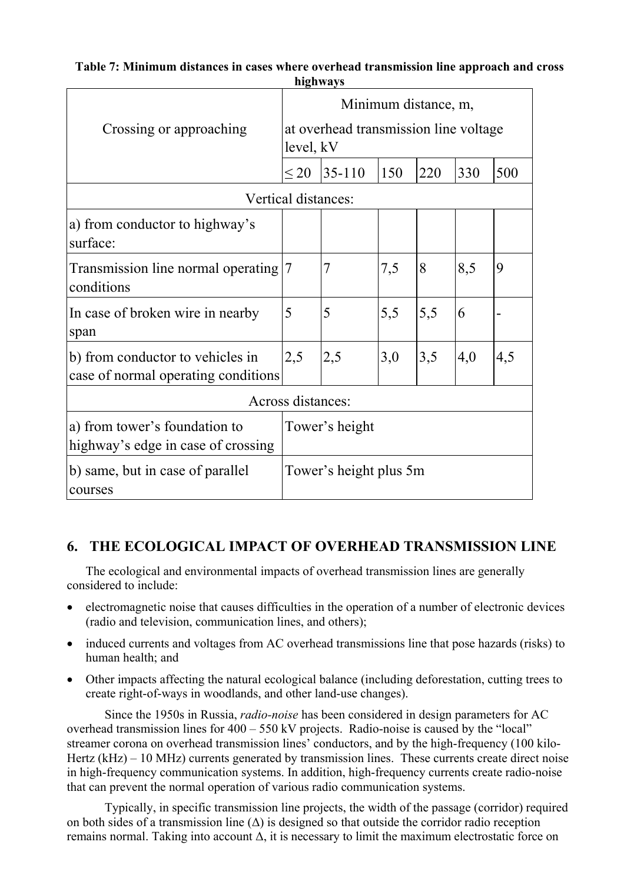| Crossing or approaching                                                               | Minimum distance, m,<br>at overhead transmission line voltage<br>level, kV |          |     |     |     |     |  |
|---------------------------------------------------------------------------------------|----------------------------------------------------------------------------|----------|-----|-----|-----|-----|--|
|                                                                                       | $\leq$ 20                                                                  | $35-110$ | 150 | 220 | 330 | 500 |  |
| Vertical distances:                                                                   |                                                                            |          |     |     |     |     |  |
| a) from conductor to highway's<br>surface:                                            |                                                                            |          |     |     |     |     |  |
| Transmission line normal operating<br>conditions                                      | 17                                                                         | 7        | 7,5 | 8   | 8,5 | 9   |  |
| In case of broken wire in nearby<br>span                                              | 5                                                                          | 5        | 5,5 | 5,5 | 6   |     |  |
| b) from conductor to vehicles in<br>case of normal operating conditions               | 2,5                                                                        | 2,5      | 3,0 | 3,5 | 4,0 | 4,5 |  |
|                                                                                       | Across distances:                                                          |          |     |     |     |     |  |
| a) from tower's foundation to<br>Tower's height<br>highway's edge in case of crossing |                                                                            |          |     |     |     |     |  |
| b) same, but in case of parallel<br>courses                                           | Tower's height plus 5m                                                     |          |     |     |     |     |  |

### **Table 7: Minimum distances in cases where overhead transmission line approach and cross highways**

# **6. THE ECOLOGICAL IMPACT OF OVERHEAD TRANSMISSION LINE**

The ecological and environmental impacts of overhead transmission lines are generally considered to include:

- electromagnetic noise that causes difficulties in the operation of a number of electronic devices (radio and television, communication lines, and others);
- induced currents and voltages from AC overhead transmissions line that pose hazards (risks) to human health; and
- Other impacts affecting the natural ecological balance (including deforestation, cutting trees to create right-of-ways in woodlands, and other land-use changes).

Since the 1950s in Russia, *radio-noise* has been considered in design parameters for AC overhead transmission lines for 400 – 550 kV projects. Radio-noise is caused by the "local" streamer corona on overhead transmission lines' conductors, and by the high-frequency (100 kilo-Hertz (kHz) – 10 MHz) currents generated by transmission lines. These currents create direct noise in high-frequency communication systems. In addition, high-frequency currents create radio-noise that can prevent the normal operation of various radio communication systems.

Typically, in specific transmission line projects, the width of the passage (corridor) required on both sides of a transmission line (∆) is designed so that outside the corridor radio reception remains normal. Taking into account ∆, it is necessary to limit the maximum electrostatic force on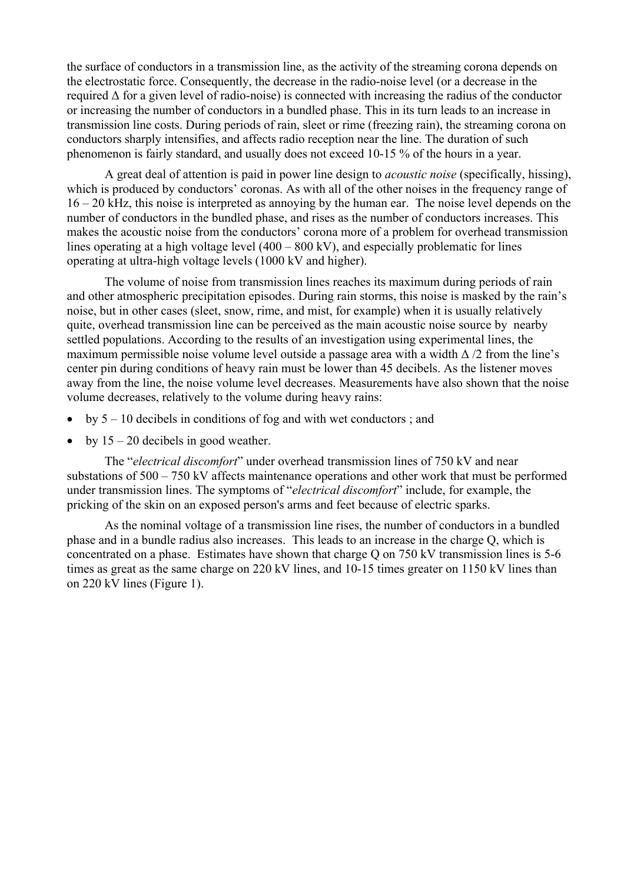the surface of conductors in a transmission line, as the activity of the streaming corona depends on the electrostatic force. Consequently, the decrease in the radio-noise level (or a decrease in the required ∆ for a given level of radio-noise) is connected with increasing the radius of the conductor or increasing the number of conductors in a bundled phase. This in its turn leads to an increase in transmission line costs. During periods of rain, sleet or rime (freezing rain), the streaming corona on conductors sharply intensifies, and affects radio reception near the line. The duration of such phenomenon is fairly standard, and usually does not exceed 10-15 % of the hours in a year.

A great deal of attention is paid in power line design to *acoustic noise* (specifically, hissing), which is produced by conductors' coronas. As with all of the other noises in the frequency range of 16 – 20 kHz, this noise is interpreted as annoying by the human ear. The noise level depends on the number of conductors in the bundled phase, and rises as the number of conductors increases. This makes the acoustic noise from the conductors' corona more of a problem for overhead transmission lines operating at a high voltage level (400 – 800 kV), and especially problematic for lines operating at ultra-high voltage levels (1000 kV and higher).

The volume of noise from transmission lines reaches its maximum during periods of rain and other atmospheric precipitation episodes. During rain storms, this noise is masked by the rain's noise, but in other cases (sleet, snow, rime, and mist, for example) when it is usually relatively quite, overhead transmission line can be perceived as the main acoustic noise source by nearby settled populations. According to the results of an investigation using experimental lines, the maximum permissible noise volume level outside a passage area with a width  $\Delta/2$  from the line's center pin during conditions of heavy rain must be lower than 45 decibels. As the listener moves away from the line, the noise volume level decreases. Measurements have also shown that the noise volume decreases, relatively to the volume during heavy rains:

- by 5 10 decibels in conditions of fog and with wet conductors ; and
- by  $15 20$  decibels in good weather.

The "*electrical discomfort*" under overhead transmission lines of 750 kV and near substations of 500 – 750 kV affects maintenance operations and other work that must be performed under transmission lines. The symptoms of "*electrical discomfort*" include, for example, the pricking of the skin on an exposed person's arms and feet because of electric sparks.

As the nominal voltage of a transmission line rises, the number of conductors in a bundled phase and in a bundle radius also increases. This leads to an increase in the charge Q, which is concentrated on a phase. Estimates have shown that charge Q on 750 kV transmission lines is 5-6 times as great as the same charge on 220 kV lines, and 10-15 times greater on 1150 kV lines than on 220 kV lines (Figure 1).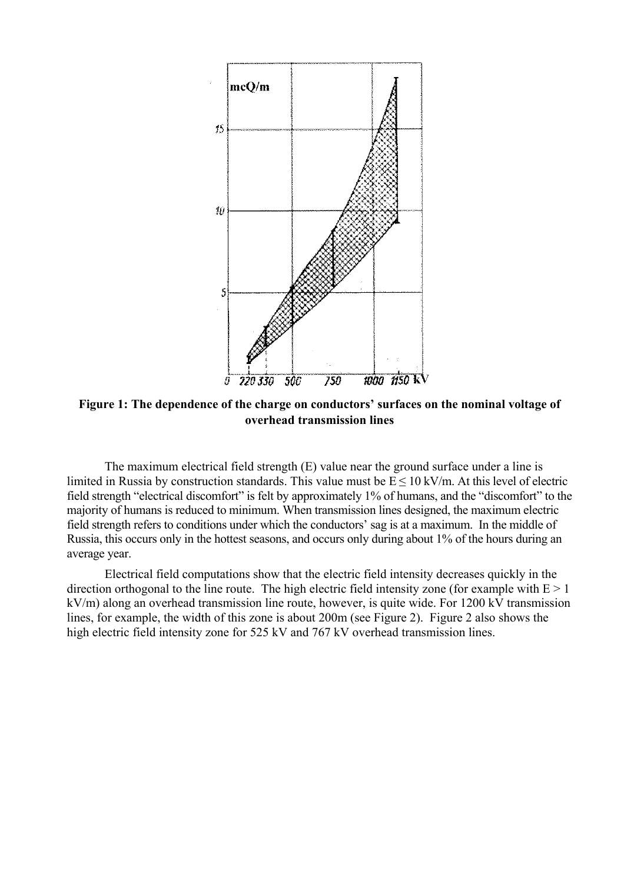

**Figure 1: The dependence of the charge on conductors' surfaces on the nominal voltage of overhead transmission lines**

The maximum electrical field strength (E) value near the ground surface under a line is limited in Russia by construction standards. This value must be  $E \le 10$  kV/m. At this level of electric field strength "electrical discomfort" is felt by approximately 1% of humans, and the "discomfort" to the majority of humans is reduced to minimum. When transmission lines designed, the maximum electric field strength refers to conditions under which the conductors' sag is at a maximum. In the middle of Russia, this occurs only in the hottest seasons, and occurs only during about 1% of the hours during an average year.

Electrical field computations show that the electric field intensity decreases quickly in the direction orthogonal to the line route. The high electric field intensity zone (for example with  $E > 1$ ) kV/m) along an overhead transmission line route, however, is quite wide. For 1200 kV transmission lines, for example, the width of this zone is about 200m (see Figure 2). Figure 2 also shows the high electric field intensity zone for 525 kV and 767 kV overhead transmission lines.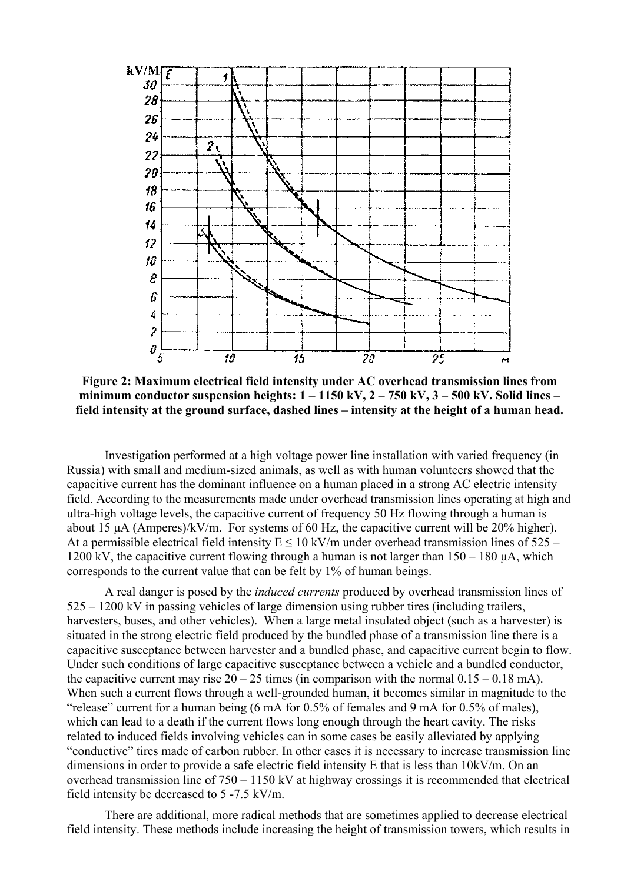

**Figure 2: Maximum electrical field intensity under AC overhead transmission lines from minimum conductor suspension heights: 1 – 1150 kV, 2 – 750 kV, 3 – 500 kV. Solid lines – field intensity at the ground surface, dashed lines – intensity at the height of a human head.** 

Investigation performed at a high voltage power line installation with varied frequency (in Russia) with small and medium-sized animals, as well as with human volunteers showed that the capacitive current has the dominant influence on a human placed in a strong AC electric intensity field. According to the measurements made under overhead transmission lines operating at high and ultra-high voltage levels, the capacitive current of frequency 50 Hz flowing through a human is about 15  $\mu$ A (Amperes)/kV/m. For systems of 60 Hz, the capacitive current will be 20% higher). At a permissible electrical field intensity  $E \le 10 \text{ kV/m}$  under overhead transmission lines of 525 – 1200 kV, the capacitive current flowing through a human is not larger than 150 – 180 µA, which corresponds to the current value that can be felt by 1% of human beings.

A real danger is posed by the *induced currents* produced by overhead transmission lines of 525 – 1200 kV in passing vehicles of large dimension using rubber tires (including trailers, harvesters, buses, and other vehicles). When a large metal insulated object (such as a harvester) is situated in the strong electric field produced by the bundled phase of a transmission line there is a capacitive susceptance between harvester and a bundled phase, and capacitive current begin to flow. Under such conditions of large capacitive susceptance between a vehicle and a bundled conductor, the capacitive current may rise  $20 - 25$  times (in comparison with the normal  $0.15 - 0.18$  mA). When such a current flows through a well-grounded human, it becomes similar in magnitude to the "release" current for a human being (6 mA for 0.5% of females and 9 mA for 0.5% of males), which can lead to a death if the current flows long enough through the heart cavity. The risks related to induced fields involving vehicles can in some cases be easily alleviated by applying "conductive" tires made of carbon rubber. In other cases it is necessary to increase transmission line dimensions in order to provide a safe electric field intensity E that is less than 10kV/m. On an overhead transmission line of 750 – 1150 kV at highway crossings it is recommended that electrical field intensity be decreased to 5 -7.5 kV/m.

There are additional, more radical methods that are sometimes applied to decrease electrical field intensity. These methods include increasing the height of transmission towers, which results in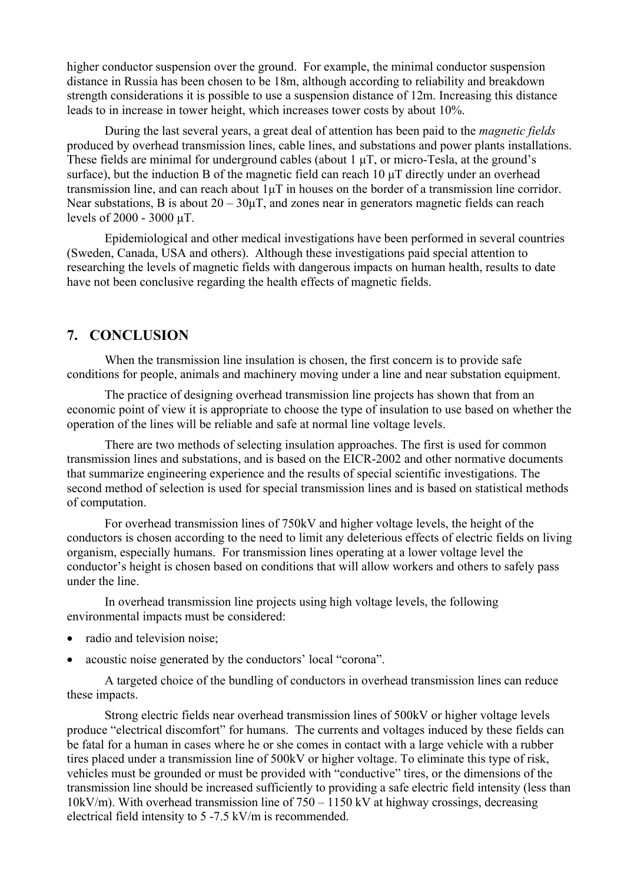higher conductor suspension over the ground. For example, the minimal conductor suspension distance in Russia has been chosen to be 18m, although according to reliability and breakdown strength considerations it is possible to use a suspension distance of 12m. Increasing this distance leads to in increase in tower height, which increases tower costs by about 10%.

During the last several years, a great deal of attention has been paid to the *magnetic fields* produced by overhead transmission lines, cable lines, and substations and power plants installations. These fields are minimal for underground cables (about 1  $\mu$ T, or micro-Tesla, at the ground's surface), but the induction B of the magnetic field can reach  $10 \mu T$  directly under an overhead transmission line, and can reach about 1µT in houses on the border of a transmission line corridor. Near substations, B is about  $20 - 30\mu$ T, and zones near in generators magnetic fields can reach levels of 2000 - 3000 µT.

Epidemiological and other medical investigations have been performed in several countries (Sweden, Canada, USA and others). Although these investigations paid special attention to researching the levels of magnetic fields with dangerous impacts on human health, results to date have not been conclusive regarding the health effects of magnetic fields.

### **7. CONCLUSION**

When the transmission line insulation is chosen, the first concern is to provide safe conditions for people, animals and machinery moving under a line and near substation equipment.

The practice of designing overhead transmission line projects has shown that from an economic point of view it is appropriate to choose the type of insulation to use based on whether the operation of the lines will be reliable and safe at normal line voltage levels.

There are two methods of selecting insulation approaches. The first is used for common transmission lines and substations, and is based on the EICR-2002 and other normative documents that summarize engineering experience and the results of special scientific investigations. The second method of selection is used for special transmission lines and is based on statistical methods of computation.

For overhead transmission lines of 750kV and higher voltage levels, the height of the conductors is chosen according to the need to limit any deleterious effects of electric fields on living organism, especially humans. For transmission lines operating at a lower voltage level the conductor's height is chosen based on conditions that will allow workers and others to safely pass under the line.

In overhead transmission line projects using high voltage levels, the following environmental impacts must be considered:

- radio and television noise:
- acoustic noise generated by the conductors' local "corona".

A targeted choice of the bundling of conductors in overhead transmission lines can reduce these impacts.

Strong electric fields near overhead transmission lines of 500kV or higher voltage levels produce "electrical discomfort" for humans. The currents and voltages induced by these fields can be fatal for a human in cases where he or she comes in contact with a large vehicle with a rubber tires placed under a transmission line of 500kV or higher voltage. To eliminate this type of risk, vehicles must be grounded or must be provided with "conductive" tires, or the dimensions of the transmission line should be increased sufficiently to providing a safe electric field intensity (less than 10kV/m). With overhead transmission line of  $750 - 1150$  kV at highway crossings, decreasing electrical field intensity to 5 -7.5 kV/m is recommended.